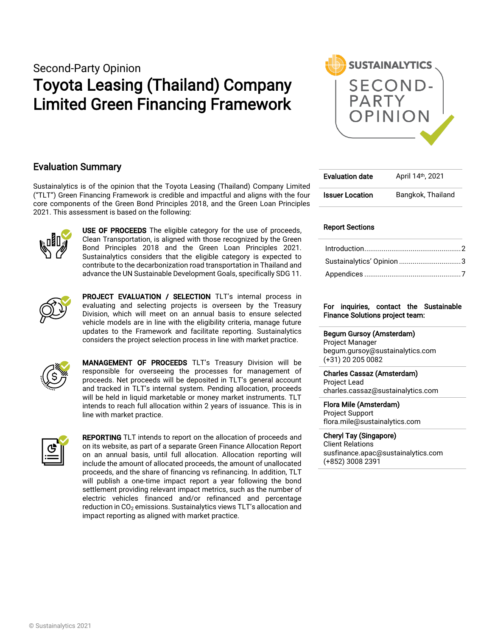Second-Party Opinion

# Toyota Leasing (Thailand) Company Limited Green Financing Framework



### Evaluation Summary

Sustainalytics is of the opinion that the Toyota Leasing (Thailand) Company Limited ("TLT") Green Financing Framework is credible and impactful and aligns with the four core components of the Green Bond Principles 2018, and the Green Loan Principles 2021. This assessment is based on the following:



USE OF PROCEEDS The eligible category for the use of proceeds, Clean Transportation, is aligned with those recognized by the Green Bond Principles 2018 and the Green Loan Principles 2021. Sustainalytics considers that the eligible category is expected to contribute to the decarbonization road transportation in Thailand and advance the UN Sustainable Development Goals, specifically SDG 11.



PROJECT EVALUATION / SELECTION TLT's internal process in evaluating and selecting projects is overseen by the Treasury Division, which will meet on an annual basis to ensure selected vehicle models are in line with the eligibility criteria, manage future updates to the Framework and facilitate reporting. Sustainalytics considers the project selection process in line with market practice.



MANAGEMENT OF PROCEEDS TLT's Treasury Division will be responsible for overseeing the processes for management of proceeds. Net proceeds will be deposited in TLT's general account and tracked in TLT's internal system. Pending allocation, proceeds will be held in liquid marketable or money market instruments. TLT intends to reach full allocation within 2 years of issuance. This is in line with market practice.



REPORTING TLT intends to report on the allocation of proceeds and on its website, as part of a separate Green Finance Allocation Report on an annual basis, until full allocation. Allocation reporting will include the amount of allocated proceeds, the amount of unallocated proceeds, and the share of financing vs refinancing. In addition, TLT will publish a one-time impact report a year following the bond settlement providing relevant impact metrics, such as the number of electric vehicles financed and/or refinanced and percentage reduction in CO<sub>2</sub> emissions. Sustainalytics views TLT's allocation and impact reporting as aligned with market practice.

| <b>Evaluation date</b> | April 14th, 2021  |  |  |  |
|------------------------|-------------------|--|--|--|
| <b>Issuer Location</b> | Bangkok, Thailand |  |  |  |

### Report Sections

| Sustainalytics' Opinion 3 |  |
|---------------------------|--|
|                           |  |

#### For inquiries, contact the Sustainable Finance Solutions project team:

#### Begum Gursoy (Amsterdam)

Project Manager begum.gursoy@sustainalytics.com (+31) 20 205 0082

Charles Cassaz (Amsterdam) Project Lead charles.cassaz@sustainalytics.com

Flora Mile (Amsterdam)

Project Support flora.mile@sustainalytics.com

Cheryl Tay (Singapore) Client Relations susfinance.apac@sustainalytics.com (+852) 3008 2391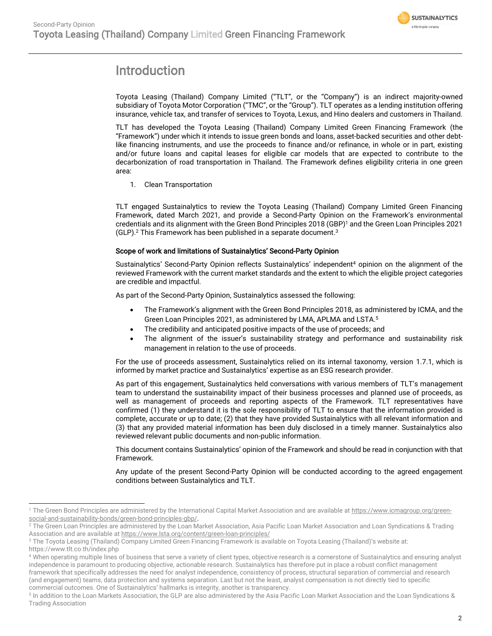

## <span id="page-1-0"></span>Introduction

Toyota Leasing (Thailand) Company Limited ("TLT", or the "Company") is an indirect majority-owned subsidiary of Toyota Motor Corporation ("TMC", or the "Group"). TLT operates as a lending institution offering insurance, vehicle tax, and transfer of services to Toyota, Lexus, and Hino dealers and customers in Thailand.

TLT has developed the Toyota Leasing (Thailand) Company Limited Green Financing Framework (the "Framework") under which it intends to issue green bonds and loans, asset-backed securities and other debtlike financing instruments, and use the proceeds to finance and/or refinance, in whole or in part, existing and/or future loans and capital leases for eligible car models that are expected to contribute to the decarbonization of road transportation in Thailand. The Framework defines eligibility criteria in one green area:

1. Clean Transportation

TLT engaged Sustainalytics to review the Toyota Leasing (Thailand) Company Limited Green Financing Framework, dated March 2021, and provide a Second-Party Opinion on the Framework's environmental credentials and its alignment with the Green Bond Principles 2018 (GBP)<sup>1</sup> and the Green Loan Principles 2021 (GLP). <sup>2</sup> This Framework has been published in a separate document. 3

### Scope of work and limitations of Sustainalytics' Second-Party Opinion

Sustainalytics' Second-Party Opinion reflects Sustainalytics' independent<sup>4</sup> opinion on the alignment of the reviewed Framework with the current market standards and the extent to which the eligible project categories are credible and impactful.

As part of the Second-Party Opinion, Sustainalytics assessed the following:

- The Framework's alignment with the Green Bond Principles 2018, as administered by ICMA, and the Green Loan Principles 2021, as administered by LMA, APLMA and LSTA. 5
- The credibility and anticipated positive impacts of the use of proceeds; and
- The alignment of the issuer's sustainability strategy and performance and sustainability risk management in relation to the use of proceeds.

For the use of proceeds assessment, Sustainalytics relied on its internal taxonomy, version 1.7.1, which is informed by market practice and Sustainalytics' expertise as an ESG research provider.

As part of this engagement, Sustainalytics held conversations with various members of TLT's management team to understand the sustainability impact of their business processes and planned use of proceeds, as well as management of proceeds and reporting aspects of the Framework. TLT representatives have confirmed (1) they understand it is the sole responsibility of TLT to ensure that the information provided is complete, accurate or up to date; (2) that they have provided Sustainalytics with all relevant information and (3) that any provided material information has been duly disclosed in a timely manner. Sustainalytics also reviewed relevant public documents and non-public information.

This document contains Sustainalytics' opinion of the Framework and should be read in conjunction with that Framework.

Any update of the present Second-Party Opinion will be conducted according to the agreed engagement conditions between Sustainalytics and TLT.

<sup>&</sup>lt;sup>1</sup> The Green Bond Principles are administered by the International Capital Market Association and are available a[t https://www.icmagroup.org/green](https://www.icmagroup.org/green-social-and-sustainability-bonds/green-bond-principles-gbp/)[social-and-sustainability-bonds/green-bond-principles-gbp/.](https://www.icmagroup.org/green-social-and-sustainability-bonds/green-bond-principles-gbp/)

<sup>&</sup>lt;sup>2</sup> The Green Loan Principles are administered by the Loan Market Association, Asia Pacific Loan Market Association and Loan Syndications & Trading Association and are available a[t https://www.lsta.org/content/green-loan-principles/](https://www.lsta.org/content/green-loan-principles/)

<sup>&</sup>lt;sup>3</sup> The Toyota Leasing (Thailand) Company Limited Green Financing Framework is available on Toyota Leasing (Thailand)'s website at: https://www.tlt.co.th/index.php

<sup>4</sup> When operating multiple lines of business that serve a variety of client types, objective research is a cornerstone of Sustainalytics and ensuring analyst independence is paramount to producing objective, actionable research. Sustainalytics has therefore put in place a robust conflict management framework that specifically addresses the need for analyst independence, consistency of process, structural separation of commercial and research (and engagement) teams, data protection and systems separation. Last but not the least, analyst compensation is not directly tied to specific commercial outcomes. One of Sustainalytics' hallmarks is integrity, another is transparency.

<sup>5</sup> In addition to the Loan Markets Association, the GLP are also administered by the Asia Pacific Loan Market Association and the Loan Syndications & Trading Association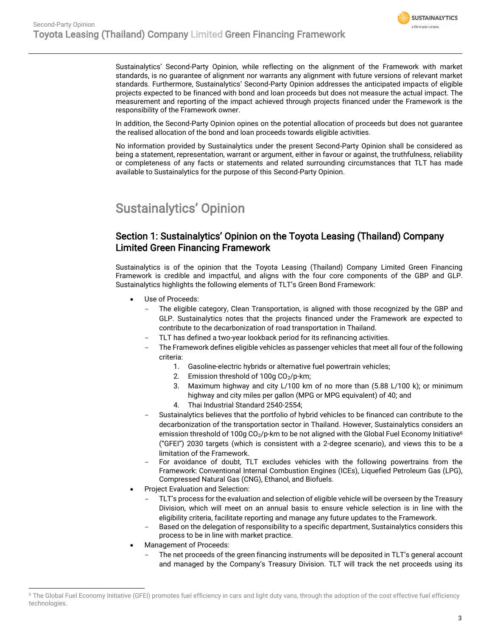

Sustainalytics' Second-Party Opinion, while reflecting on the alignment of the Framework with market standards, is no guarantee of alignment nor warrants any alignment with future versions of relevant market standards. Furthermore, Sustainalytics' Second-Party Opinion addresses the anticipated impacts of eligible projects expected to be financed with bond and loan proceeds but does not measure the actual impact. The measurement and reporting of the impact achieved through projects financed under the Framework is the responsibility of the Framework owner.

In addition, the Second-Party Opinion opines on the potential allocation of proceeds but does not guarantee the realised allocation of the bond and loan proceeds towards eligible activities.

No information provided by Sustainalytics under the present Second-Party Opinion shall be considered as being a statement, representation, warrant or argument, either in favour or against, the truthfulness, reliability or completeness of any facts or statements and related surrounding circumstances that TLT has made available to Sustainalytics for the purpose of this Second-Party Opinion.

## <span id="page-2-0"></span>Sustainalytics' Opinion

### Section 1: Sustainalytics' Opinion on the Toyota Leasing (Thailand) Company Limited Green Financing Framework

Sustainalytics is of the opinion that the Toyota Leasing (Thailand) Company Limited Green Financing Framework is credible and impactful, and aligns with the four core components of the GBP and GLP. Sustainalytics highlights the following elements of TLT's Green Bond Framework:

- Use of Proceeds:
	- The eligible category, Clean Transportation, is aligned with those recognized by the GBP and GLP. Sustainalytics notes that the projects financed under the Framework are expected to contribute to the decarbonization of road transportation in Thailand.
	- TLT has defined a two-year lookback period for its refinancing activities.
	- The Framework defines eligible vehicles as passenger vehicles that meet all four of the following criteria:
		- 1. Gasoline-electric hybrids or alternative fuel powertrain vehicles;
		- 2. Emission threshold of  $100q \text{ CO}_2$ /p-km;
		- 3. Maximum highway and city L/100 km of no more than (5.88 L/100 k); or minimum highway and city miles per gallon (MPG or MPG equivalent) of 40; and
		- 4. Thai Industrial Standard 2540-2554;
	- Sustainalytics believes that the portfolio of hybrid vehicles to be financed can contribute to the decarbonization of the transportation sector in Thailand. However, Sustainalytics considers an emission threshold of 100g  $CO_2/p$ -km to be not aligned with the Global Fuel Economy Initiative<sup>6</sup> ("GFEI") 2030 targets (which is consistent with a 2-degree scenario), and views this to be a limitation of the Framework.
	- For avoidance of doubt, TLT excludes vehicles with the following powertrains from the Framework: Conventional Internal Combustion Engines (ICEs), Liquefied Petroleum Gas (LPG), Compressed Natural Gas (CNG), Ethanol, and Biofuels.
- Project Evaluation and Selection:
	- TLT's process for the evaluation and selection of eligible vehicle will be overseen by the Treasury Division, which will meet on an annual basis to ensure vehicle selection is in line with the eligibility criteria, facilitate reporting and manage any future updates to the Framework.
	- Based on the delegation of responsibility to a specific department, Sustainalytics considers this process to be in line with market practice.
- Management of Proceeds:
	- The net proceeds of the green financing instruments will be deposited in TLT's general account and managed by the Company's Treasury Division. TLT will track the net proceeds using its

<sup>&</sup>lt;sup>6</sup> The Global Fuel Economy Initiative (GFEI) promotes fuel efficiency in cars and light duty vans, through the adoption of the cost effective fuel efficiency technologies.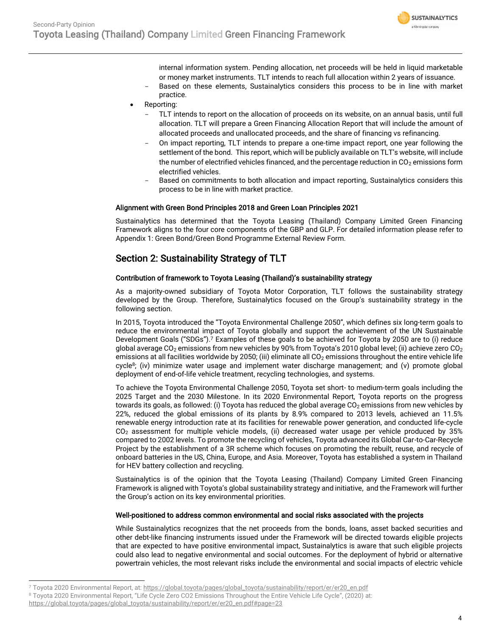

internal information system. Pending allocation, net proceeds will be held in liquid marketable or money market instruments. TLT intends to reach full allocation within 2 years of issuance.

- Based on these elements, Sustainalytics considers this process to be in line with market practice.
- Reporting:
	- TLT intends to report on the allocation of proceeds on its website, on an annual basis, until full allocation. TLT will prepare a Green Financing Allocation Report that will include the amount of allocated proceeds and unallocated proceeds, and the share of financing vs refinancing.
	- On impact reporting, TLT intends to prepare a one-time impact report, one year following the settlement of the bond. This report, which will be publicly available on TLT's website, will include the number of electrified vehicles financed, and the percentage reduction in  $CO<sub>2</sub>$  emissions form electrified vehicles.
	- Based on commitments to both allocation and impact reporting, Sustainalytics considers this process to be in line with market practice.

### Alignment with Green Bond Principles 2018 and Green Loan Principles 2021

Sustainalytics has determined that the Toyota Leasing (Thailand) Company Limited Green Financing Framework aligns to the four core components of the GBP and GLP. For detailed information please refer to Appendix 1: Green Bond/Green Bond Programme External Review Form.

### Section 2: Sustainability Strategy of TLT

### Contribution of framework to Toyota Leasing (Thailand)'s sustainability strategy

As a majority-owned subsidiary of Toyota Motor Corporation, TLT follows the sustainability strategy developed by the Group. Therefore, Sustainalytics focused on the Group's sustainability strategy in the following section.

In 2015, Toyota introduced the "Toyota Environmental Challenge 2050", which defines six long-term goals to reduce the environmental impact of Toyota globally and support the achievement of the UN Sustainable Development Goals ("SDGs"). <sup>7</sup> Examples of these goals to be achieved for Toyota by 2050 are to (i) reduce global average CO<sub>2</sub> emissions from new vehicles by 90% from Toyota's 2010 global level; (ii) achieve zero CO<sub>2</sub> emissions at all facilities worldwide by 2050; (iii) eliminate all CO<sub>2</sub> emissions throughout the entire vehicle life cycle<sup>8</sup>; (iv) minimize water usage and implement water discharge management; and (v) promote global deployment of end-of-life vehicle treatment, recycling technologies, and systems.

To achieve the Toyota Environmental Challenge 2050, Toyota set short- to medium-term goals including the 2025 Target and the 2030 Milestone. In its 2020 Environmental Report, Toyota reports on the progress towards its goals, as followed: (i) Toyota has reduced the global average  $CO<sub>2</sub>$  emissions from new vehicles by 22%, reduced the global emissions of its plants by 8.9% compared to 2013 levels, achieved an 11.5% renewable energy introduction rate at its facilities for renewable power generation, and conducted life-cycle CO<sup>2</sup> assessment for multiple vehicle models, (ii) decreased water usage per vehicle produced by 35% compared to 2002 levels. To promote the recycling of vehicles, Toyota advanced its Global Car-to-Car-Recycle Project by the establishment of a 3R scheme which focuses on promoting the rebuilt, reuse, and recycle of onboard batteries in the US, China, Europe, and Asia. Moreover, Toyota has established a system in Thailand for HEV battery collection and recycling.

Sustainalytics is of the opinion that the Toyota Leasing (Thailand) Company Limited Green Financing Framework is aligned with Toyota's global sustainability strategy and initiative, and the Framework will further the Group's action on its key environmental priorities.

### Well-positioned to address common environmental and social risks associated with the projects

While Sustainalytics recognizes that the net proceeds from the bonds, loans, asset backed securities and other debt-like financing instruments issued under the Framework will be directed towards eligible projects that are expected to have positive environmental impact, Sustainalytics is aware that such eligible projects could also lead to negative environmental and social outcomes. For the deployment of hybrid or alternative powertrain vehicles, the most relevant risks include the environmental and social impacts of electric vehicle

<sup>7</sup> Toyota 2020 Environmental Report, at[: https://global.toyota/pages/global\\_toyota/sustainability/report/er/er20\\_en.pdf](https://global.toyota/pages/global_toyota/sustainability/report/er/er20_en.pdf)

<sup>8</sup> Toyota 2020 Environmental Report, "Life Cycle Zero CO2 Emissions Throughout the Entire Vehicle Life Cycle", (2020) at:

[https://global.toyota/pages/global\\_toyota/sustainability/report/er/er20\\_en.pdf#page=23](https://global.toyota/pages/global_toyota/sustainability/report/er/er20_en.pdf#page=23)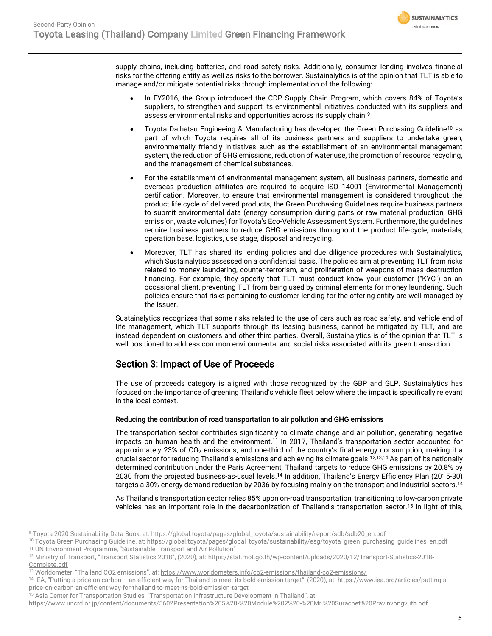

supply chains, including batteries, and road safety risks. Additionally, consumer lending involves financial risks for the offering entity as well as risks to the borrower. Sustainalytics is of the opinion that TLT is able to manage and/or mitigate potential risks through implementation of the following:

- In FY2016, the Group introduced the CDP Supply Chain Program, which covers 84% of Toyota's suppliers, to strengthen and support its environmental initiatives conducted with its suppliers and assess environmental risks and opportunities across its supply chain.<sup>9</sup>
- Toyota Daihatsu Engineeing & Manufacturing has developed the Green Purchasing Guideline<sup>10</sup> as part of which Toyota requires all of its business partners and suppliers to undertake green, environmentally friendly initiatives such as the establishment of an environmental management system, the reduction of GHG emissions, reduction of water use, the promotion of resource recycling, and the management of chemical substances.
- For the establishment of environmental management system, all business partners, domestic and overseas production affiliates are required to acquire ISO 14001 (Environmental Management) certification. Moreover, to ensure that environmental management is considered throughout the product life cycle of delivered products, the Green Purchasing Guidelines require business partners to submit environmental data (energy consumprion during parts or raw material production, GHG emission, waste volumes) for Toyota's Eco-Vehicle Assessment System. Furthermore, the guidelines require business partners to reduce GHG emissions throughout the product life-cycle, materials, operation base, logistics, use stage, disposal and recycling.
- Moreover, TLT has shared its lending policies and due diligence procedures with Sustainalytics, which Sustainalytics assessed on a confidential basis. The policies aim at preventing TLT from risks related to money laundering, counter-terrorism, and proliferation of weapons of mass destruction financing. For example, they specify that TLT must conduct know your customer ("KYC") on an occasional client, preventing TLT from being used by criminal elements for money laundering. Such policies ensure that risks pertaining to customer lending for the offering entity are well-managed by the Issuer.

Sustainalytics recognizes that some risks related to the use of cars such as road safety, and vehicle end of life management, which TLT supports through its leasing business, cannot be mitigated by TLT, and are instead dependent on customers and other third parties. Overall, Sustainalytics is of the opinion that TLT is well positioned to address common environmental and social risks associated with its green transaction.

### Section 3: Impact of Use of Proceeds

The use of proceeds category is aligned with those recognized by the GBP and GLP. Sustainalytics has focused on the importance of greening Thailand's vehicle fleet below where the impact is specifically relevant in the local context.

### Reducing the contribution of road transportation to air pollution and GHG emissions

<span id="page-4-0"></span>The transportation sector contributes significantly to climate change and air pollution, generating negative impacts on human health and the environment.<sup>11</sup> In 2017, Thailand's transportation sector accounted for approximately 23% of  $CO<sub>2</sub>$  emissions, and one-third of the country's final energy consumption, making it a crucial sector for reducing Thailand's emissions and achieving its climate goals. 12,13,14 As part of its nationally determined contribution under the Paris Agreement, Thailand targets to reduce GHG emissions by 20.8% by 2030 from the projected business-as-usual levels. [14](#page-4-0) In addition, Thailand's Energy Efficiency Plan (2015-30) targets a 30% energy demand reduction by 2036 by focusing mainly on the transport and industrial sectors.<sup>[14](#page-4-0)</sup>

As Thailand's transportation sector relies 85% upon on-road transportation, transitioning to low-carbon private vehicles has an important role in the decarbonization of Thailand's transportation sector.<sup>15</sup> In light of this,

<sup>9</sup> Toyota 2020 Sustainability Data Book, at[: https://global.toyota/pages/global\\_toyota/sustainability/report/sdb/sdb20\\_en.pdf](https://global.toyota/pages/global_toyota/sustainability/report/sdb/sdb20_en.pdf)

<sup>10</sup> Toyota Green Purchasing Guideline, at: https://global.toyota/pages/global\_toyota/sustainability/esg/toyota\_green\_purchasing\_guidelines\_en.pdf <sup>11</sup> UN Environment Programme, "Sustainable Transport and Air Pollution"

<sup>12</sup> Ministry of Transport, "Transport Statistics 2018", (2020), at: [https://stat.mot.go.th/wp-content/uploads/2020/12/Transport-Statistics-2018-](https://stat.mot.go.th/wp-content/uploads/2020/12/Transport-Statistics-2018-Complete.pdf) [Complete.pdf](https://stat.mot.go.th/wp-content/uploads/2020/12/Transport-Statistics-2018-Complete.pdf)

<sup>13</sup> Worldometer, "Thailand CO2 emissions", at: <https://www.worldometers.info/co2-emissions/thailand-co2-emissions/>

<sup>&</sup>lt;sup>14</sup> IEA, "Putting a price on carbon - an efficient way for Thailand to meet its bold emission target", (2020), at: [https://www.iea.org/articles/putting-a](https://www.iea.org/articles/putting-a-price-on-carbon-an-efficient-way-for-thailand-to-meet-its-bold-emission-target)[price-on-carbon-an-efficient-way-for-thailand-to-meet-its-bold-emission-target](https://www.iea.org/articles/putting-a-price-on-carbon-an-efficient-way-for-thailand-to-meet-its-bold-emission-target)

<sup>15</sup> Asia Center for Transportation Studies, "Transportation Infrastructure Development in Thailand", at:

<https://www.uncrd.or.jp/content/documents/5602Presentation%205%20-%20Module%202%20-%20Mr.%20Surachet%20Pravinvongvuth.pdf>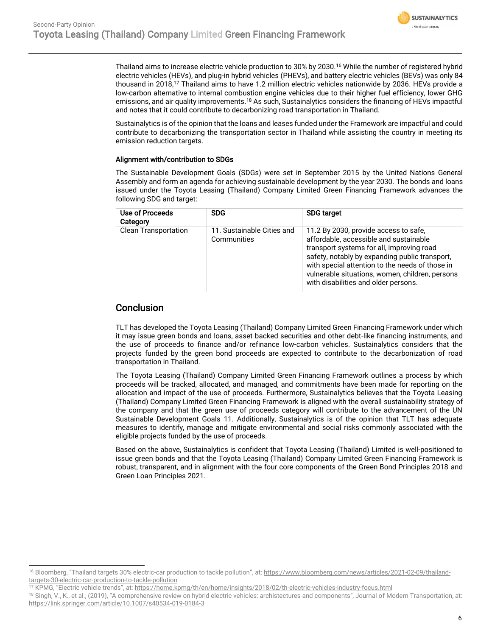

Thailand aims to increase electric vehicle production to 30% by 2030.<sup>16</sup> While the number of registered hybrid electric vehicles (HEVs), and plug-in hybrid vehicles (PHEVs), and battery electric vehicles (BEVs) was only 84 thousand in 2018, <sup>17</sup> Thailand aims to have 1.2 million electric vehicles nationwide by 2036. HEVs provide a low-carbon alternative to internal combustion engine vehicles due to their higher fuel efficiency, lower GHG emissions, and air quality improvements.<sup>18</sup> As such, Sustainalytics considers the financing of HEVs impactful and notes that it could contribute to decarbonizing road transportation in Thailand.

Sustainalytics is of the opinion that the loans and leases funded under the Framework are impactful and could contribute to decarbonizing the transportation sector in Thailand while assisting the country in meeting its emission reduction targets.

### Alignment with/contribution to SDGs

The Sustainable Development Goals (SDGs) were set in September 2015 by the United Nations General Assembly and form an agenda for achieving sustainable development by the year 2030. The bonds and loans issued under the Toyota Leasing (Thailand) Company Limited Green Financing Framework advances the following SDG and target:

| Use of Proceeds<br>Category | <b>SDG</b>                                | <b>SDG target</b>                                                                                                                                                                                                                                                                                                            |
|-----------------------------|-------------------------------------------|------------------------------------------------------------------------------------------------------------------------------------------------------------------------------------------------------------------------------------------------------------------------------------------------------------------------------|
| <b>Clean Transportation</b> | 11. Sustainable Cities and<br>Communities | 11.2 By 2030, provide access to safe,<br>affordable, accessible and sustainable<br>transport systems for all, improving road<br>safety, notably by expanding public transport,<br>with special attention to the needs of those in<br>vulnerable situations, women, children, persons<br>with disabilities and older persons. |

### **Conclusion**

TLT has developed the Toyota Leasing (Thailand) Company Limited Green Financing Framework under which it may issue green bonds and loans, asset backed securities and other debt-like financing instruments, and the use of proceeds to finance and/or refinance low-carbon vehicles. Sustainalytics considers that the projects funded by the green bond proceeds are expected to contribute to the decarbonization of road transportation in Thailand.

The Toyota Leasing (Thailand) Company Limited Green Financing Framework outlines a process by which proceeds will be tracked, allocated, and managed, and commitments have been made for reporting on the allocation and impact of the use of proceeds. Furthermore, Sustainalytics believes that the Toyota Leasing (Thailand) Company Limited Green Financing Framework is aligned with the overall sustainability strategy of the company and that the green use of proceeds category will contribute to the advancement of the UN Sustainable Development Goals 11. Additionally, Sustainalytics is of the opinion that TLT has adequate measures to identify, manage and mitigate environmental and social risks commonly associated with the eligible projects funded by the use of proceeds.

Based on the above, Sustainalytics is confident that Toyota Leasing (Thailand) Limited is well-positioned to issue green bonds and that the Toyota Leasing (Thailand) Company Limited Green Financing Framework is robust, transparent, and in alignment with the four core components of the Green Bond Principles 2018 and Green Loan Principles 2021.

<sup>16</sup> Bloomberg, "Thailand targets 30% electric-car production to tackle pollution", at: [https://www.bloomberg.com/news/articles/2021-02-09/thailand](https://www.bloomberg.com/news/articles/2021-02-09/thailand-targets-30-electric-car-production-to-tackle-pollution)[targets-30-electric-car-production-to-tackle-pollution](https://www.bloomberg.com/news/articles/2021-02-09/thailand-targets-30-electric-car-production-to-tackle-pollution)

<sup>17</sup> KPMG, "Electric vehicle trends", at: <https://home.kpmg/th/en/home/insights/2018/02/th-electric-vehicles-industry-focus.html>

<sup>18</sup> Singh, V., K., et al., (2019), "A comprehensive review on hybrid electric vehicles: archistectures and components", Journal of Modern Transportation, at: <https://link.springer.com/article/10.1007/s40534-019-0184-3>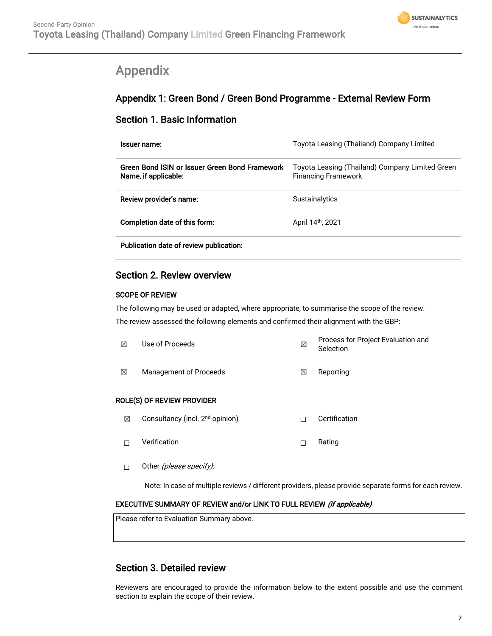

## <span id="page-6-0"></span>Appendix

## Appendix 1: Green Bond / Green Bond Programme - External Review Form

### Section 1. Basic Information

| Issuer name:                                                           | Toyota Leasing (Thailand) Company Limited                                     |
|------------------------------------------------------------------------|-------------------------------------------------------------------------------|
| Green Bond ISIN or Issuer Green Bond Framework<br>Name, if applicable: | Toyota Leasing (Thailand) Company Limited Green<br><b>Financing Framework</b> |
| Review provider's name:                                                | <b>Sustainalytics</b>                                                         |
| Completion date of this form:                                          | April 14 <sup>th</sup> , 2021                                                 |
|                                                                        |                                                                               |

Publication date of review publication:

### Section 2. Review overview

### SCOPE OF REVIEW

The following may be used or adapted, where appropriate, to summarise the scope of the review.

The review assessed the following elements and confirmed their alignment with the GBP:

| ⊠                          | Use of Proceeds                             |   | Process for Project Evaluation and<br>Selection |  |  |
|----------------------------|---------------------------------------------|---|-------------------------------------------------|--|--|
| ⊠                          | Management of Proceeds                      |   | Reporting                                       |  |  |
| ROLE(S) OF REVIEW PROVIDER |                                             |   |                                                 |  |  |
| ⊠                          | Consultancy (incl. 2 <sup>nd</sup> opinion) | П | Certification                                   |  |  |
|                            | Verification                                | П | Rating                                          |  |  |

□ Other (*please specify)*:

Note: In case of multiple reviews / different providers, please provide separate forms for each review.

### EXECUTIVE SUMMARY OF REVIEW and/or LINK TO FULL REVIEW (if applicable)

Please refer to Evaluation Summary above.

### Section 3. Detailed review

Reviewers are encouraged to provide the information below to the extent possible and use the comment section to explain the scope of their review.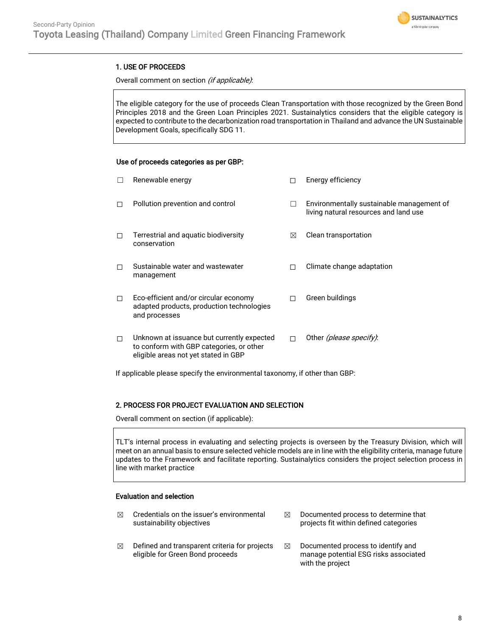

### 1. USE OF PROCEEDS

#### Overall comment on section (if applicable):

The eligible category for the use of proceeds Clean Transportation with those recognized by the Green Bond Principles 2018 and the Green Loan Principles 2021. Sustainalytics considers that the eligible category is expected to contribute to the decarbonization road transportation in Thailand and advance the UN Sustainable Development Goals, specifically SDG 11.

#### Use of proceeds categories as per GBP:

| $\Box$ | Renewable energy                                                                                                               |   | Energy efficiency                                                                  |
|--------|--------------------------------------------------------------------------------------------------------------------------------|---|------------------------------------------------------------------------------------|
| п      | Pollution prevention and control                                                                                               |   | Environmentally sustainable management of<br>living natural resources and land use |
| □      | Terrestrial and aquatic biodiversity<br>conservation                                                                           | ⊠ | Clean transportation                                                               |
| п      | Sustainable water and wastewater<br>management                                                                                 | П | Climate change adaptation                                                          |
| □      | Eco-efficient and/or circular economy<br>adapted products, production technologies<br>and processes                            | П | Green buildings                                                                    |
| □      | Unknown at issuance but currently expected<br>to conform with GBP categories, or other<br>eligible areas not yet stated in GBP | п | Other <i>(please specify)</i> :                                                    |

If applicable please specify the environmental taxonomy, if other than GBP:

### 2. PROCESS FOR PROJECT EVALUATION AND SELECTION

Overall comment on section (if applicable):

TLT's internal process in evaluating and selecting projects is overseen by the Treasury Division, which will meet on an annual basis to ensure selected vehicle models are in line with the eligibility criteria, manage future updates to the Framework and facilitate reporting. Sustainalytics considers the project selection process in line with market practice

### Evaluation and selection

- $\boxtimes$  Credentials on the issuer's environmental sustainability objectives
- $\boxtimes$  Defined and transparent criteria for projects eligible for Green Bond proceeds
- $\boxtimes$  Documented process to determine that projects fit within defined categories
- $\boxtimes$  Documented process to identify and manage potential ESG risks associated with the project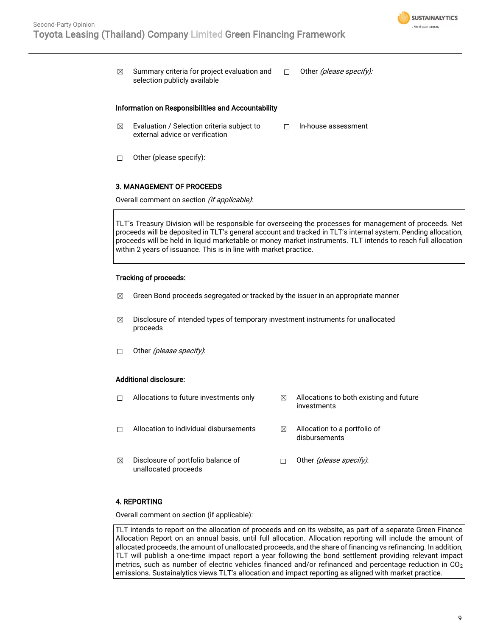

 $\boxtimes$  Summary criteria for project evaluation and selection publicly available  $\Box$  Other (please specify):

#### Information on Responsibilities and Accountability

- $\boxtimes$  Evaluation / Selection criteria subject to external advice or verification ☐ In-house assessment
- ☐ Other (please specify):

#### 3. MANAGEMENT OF PROCEEDS

Overall comment on section (if applicable):

TLT's Treasury Division will be responsible for overseeing the processes for management of proceeds. Net proceeds will be deposited in TLT's general account and tracked in TLT's internal system. Pending allocation, proceeds will be held in liquid marketable or money market instruments. TLT intends to reach full allocation within 2 years of issuance. This is in line with market practice.

### Tracking of proceeds:

- $\boxtimes$  Green Bond proceeds segregated or tracked by the issuer in an appropriate manner
- $\boxtimes$  Disclosure of intended types of temporary investment instruments for unallocated proceeds
- □ Other (please specify):

#### Additional disclosure:

- 
- $\Box$  Allocations to future investments only  $\boxtimes$  Allocations to both existing and future investments
- $\Box$  Allocation to individual disbursements  $\Box$  Allocation to a portfolio of
- disbursements
- $\boxtimes$  Disclosure of portfolio balance of unallocated proceeds
- □ Other *(please specify)*:

#### 4. REPORTING

Overall comment on section (if applicable):

TLT intends to report on the allocation of proceeds and on its website, as part of a separate Green Finance Allocation Report on an annual basis, until full allocation. Allocation reporting will include the amount of allocated proceeds, the amount of unallocated proceeds, and the share of financing vs refinancing. In addition, TLT will publish a one-time impact report a year following the bond settlement providing relevant impact metrics, such as number of electric vehicles financed and/or refinanced and percentage reduction in  $CO<sub>2</sub>$ emissions. Sustainalytics views TLT's allocation and impact reporting as aligned with market practice.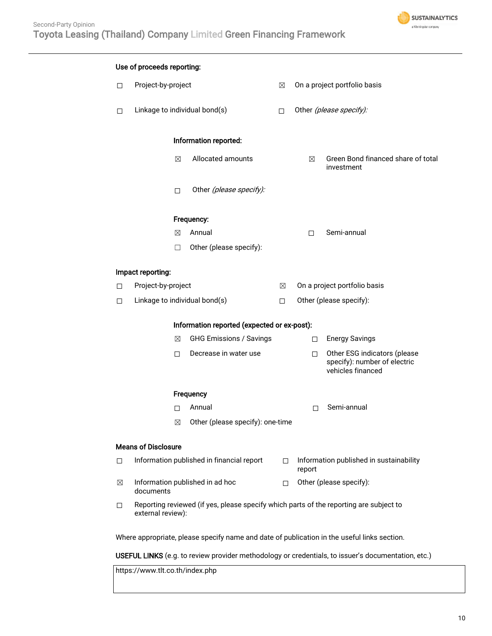

| Use of proceeds reporting:                                                                         |                                                                                                             |                                  |             |                                                   |                                                                                   |
|----------------------------------------------------------------------------------------------------|-------------------------------------------------------------------------------------------------------------|----------------------------------|-------------|---------------------------------------------------|-----------------------------------------------------------------------------------|
| $\Box$                                                                                             | Project-by-project                                                                                          |                                  | $\boxtimes$ | On a project portfolio basis                      |                                                                                   |
| $\Box$                                                                                             | Linkage to individual bond(s)                                                                               |                                  | $\Box$      | Other (please specify):                           |                                                                                   |
|                                                                                                    |                                                                                                             | Information reported:            |             |                                                   |                                                                                   |
|                                                                                                    | ⊠                                                                                                           | Allocated amounts                |             | ⊠                                                 | Green Bond financed share of total<br>investment                                  |
|                                                                                                    | □                                                                                                           | Other (please specify):          |             |                                                   |                                                                                   |
|                                                                                                    |                                                                                                             | Frequency:                       |             |                                                   |                                                                                   |
|                                                                                                    | ⊠                                                                                                           | Annual                           |             | $\Box$                                            | Semi-annual                                                                       |
|                                                                                                    | □                                                                                                           | Other (please specify):          |             |                                                   |                                                                                   |
|                                                                                                    | Impact reporting:                                                                                           |                                  |             |                                                   |                                                                                   |
| $\Box$                                                                                             | Project-by-project                                                                                          |                                  | ⊠           | On a project portfolio basis                      |                                                                                   |
| $\Box$                                                                                             | Linkage to individual bond(s)                                                                               |                                  | $\Box$      | Other (please specify):                           |                                                                                   |
| Information reported (expected or ex-post):                                                        |                                                                                                             |                                  |             |                                                   |                                                                                   |
|                                                                                                    | ⊠                                                                                                           | <b>GHG Emissions / Savings</b>   |             | $\Box$                                            | <b>Energy Savings</b>                                                             |
|                                                                                                    | □                                                                                                           | Decrease in water use            |             | □                                                 | Other ESG indicators (please<br>specify): number of electric<br>vehicles financed |
|                                                                                                    |                                                                                                             | Frequency                        |             |                                                   |                                                                                   |
|                                                                                                    | $\Box$                                                                                                      | Annual                           |             | □                                                 | Semi-annual                                                                       |
|                                                                                                    | ⊠                                                                                                           | Other (please specify): one-time |             |                                                   |                                                                                   |
| <b>Means of Disclosure</b>                                                                         |                                                                                                             |                                  |             |                                                   |                                                                                   |
| □                                                                                                  | Information published in financial report                                                                   |                                  | $\Box$      | Information published in sustainability<br>report |                                                                                   |
| ⊠                                                                                                  | Information published in ad hoc<br>documents                                                                |                                  | П           | Other (please specify):                           |                                                                                   |
| □                                                                                                  | Reporting reviewed (if yes, please specify which parts of the reporting are subject to<br>external review): |                                  |             |                                                   |                                                                                   |
| Where appropriate, please specify name and date of publication in the useful links section.        |                                                                                                             |                                  |             |                                                   |                                                                                   |
| USEFUL LINKS (e.g. to review provider methodology or credentials, to issuer's documentation, etc.) |                                                                                                             |                                  |             |                                                   |                                                                                   |

https://www.tlt.co.th/index.php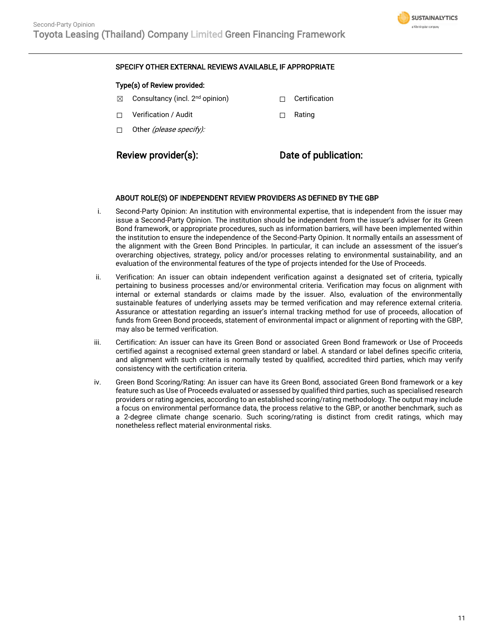

### SPECIFY OTHER EXTERNAL REVIEWS AVAILABLE, IF APPROPRIATE

### Type(s) of Review provided:

- $\boxtimes$  Consultancy (incl. 2<sup>nd</sup> opinion)  $\Box$  Certification
- ☐ Verification / Audit ☐ Rating
- $\Box$  Other *(please specify):*

### Review provider(s): Date of publication:

### ABOUT ROLE(S) OF INDEPENDENT REVIEW PROVIDERS AS DEFINED BY THE GBP

- i. Second-Party Opinion: An institution with environmental expertise, that is independent from the issuer may issue a Second-Party Opinion. The institution should be independent from the issuer's adviser for its Green Bond framework, or appropriate procedures, such as information barriers, will have been implemented within the institution to ensure the independence of the Second-Party Opinion. It normally entails an assessment of the alignment with the Green Bond Principles. In particular, it can include an assessment of the issuer's overarching objectives, strategy, policy and/or processes relating to environmental sustainability, and an evaluation of the environmental features of the type of projects intended for the Use of Proceeds.
- ii. Verification: An issuer can obtain independent verification against a designated set of criteria, typically pertaining to business processes and/or environmental criteria. Verification may focus on alignment with internal or external standards or claims made by the issuer. Also, evaluation of the environmentally sustainable features of underlying assets may be termed verification and may reference external criteria. Assurance or attestation regarding an issuer's internal tracking method for use of proceeds, allocation of funds from Green Bond proceeds, statement of environmental impact or alignment of reporting with the GBP, may also be termed verification.
- iii. Certification: An issuer can have its Green Bond or associated Green Bond framework or Use of Proceeds certified against a recognised external green standard or label. A standard or label defines specific criteria, and alignment with such criteria is normally tested by qualified, accredited third parties, which may verify consistency with the certification criteria.
- iv. Green Bond Scoring/Rating: An issuer can have its Green Bond, associated Green Bond framework or a key feature such as Use of Proceeds evaluated or assessed by qualified third parties, such as specialised research providers or rating agencies, according to an established scoring/rating methodology. The output may include a focus on environmental performance data, the process relative to the GBP, or another benchmark, such as a 2-degree climate change scenario. Such scoring/rating is distinct from credit ratings, which may nonetheless reflect material environmental risks.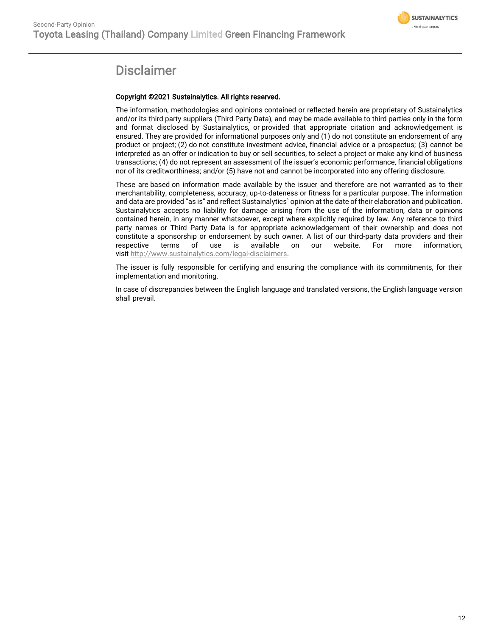

## **Disclaimer**

### Copyright ©2021 Sustainalytics. All rights reserved.

The information, methodologies and opinions contained or reflected herein are proprietary of Sustainalytics and/or its third party suppliers (Third Party Data), and may be made available to third parties only in the form and format disclosed by Sustainalytics, or provided that appropriate citation and acknowledgement is ensured. They are provided for informational purposes only and (1) do not constitute an endorsement of any product or project; (2) do not constitute investment advice, financial advice or a prospectus; (3) cannot be interpreted as an offer or indication to buy or sell securities, to select a project or make any kind of business transactions; (4) do not represent an assessment of the issuer's economic performance, financial obligations nor of its creditworthiness; and/or (5) have not and cannot be incorporated into any offering disclosure.

These are based on information made available by the issuer and therefore are not warranted as to their merchantability, completeness, accuracy, up-to-dateness or fitness for a particular purpose. The information and data are provided "as is" and reflect Sustainalytics` opinion at the date of their elaboration and publication. Sustainalytics accepts no liability for damage arising from the use of the information, data or opinions contained herein, in any manner whatsoever, except where explicitly required by law. Any reference to third party names or Third Party Data is for appropriate acknowledgement of their ownership and does not constitute a sponsorship or endorsement by such owner. A list of our third-party data providers and their respective terms of use is available on our website. For more information, visit [http://www.sustainalytics.com/legal-disclaimers.](http://www.sustainalytics.com/legal-disclaimers)

The issuer is fully responsible for certifying and ensuring the compliance with its commitments, for their implementation and monitoring.

In case of discrepancies between the English language and translated versions, the English language version shall prevail.